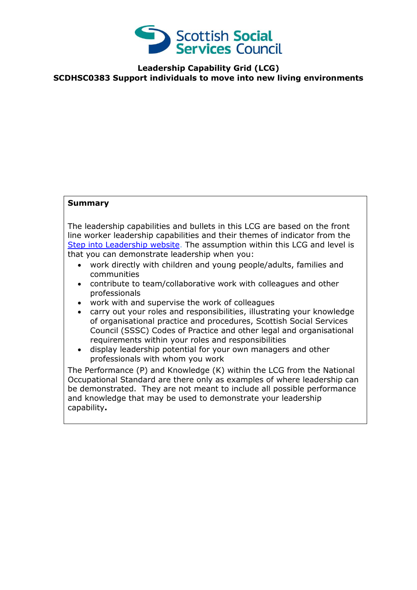

**Leadership Capability Grid (LCG) SCDHSC0383 Support individuals to move into new living environments**

## **Summary**

The leadership capabilities and bullets in this LCG are based on the front line worker leadership capabilities and their themes of indicator from the [Step into Leadership website.](http://www.stepintoleadership.info/) The assumption within this LCG and level is that you can demonstrate leadership when you:

- work directly with children and young people/adults, families and communities
- contribute to team/collaborative work with colleagues and other professionals
- work with and supervise the work of colleagues
- carry out your roles and responsibilities, illustrating your knowledge of organisational practice and procedures, Scottish Social Services Council (SSSC) Codes of Practice and other legal and organisational requirements within your roles and responsibilities
- display leadership potential for your own managers and other professionals with whom you work

The Performance (P) and Knowledge (K) within the LCG from the National Occupational Standard are there only as examples of where leadership can be demonstrated. They are not meant to include all possible performance and knowledge that may be used to demonstrate your leadership capability**.**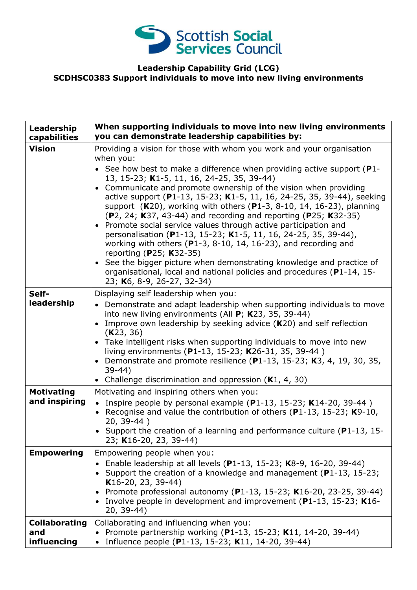

## **Leadership Capability Grid (LCG) SCDHSC0383 Support individuals to move into new living environments**

| Leadership<br>capabilities                 | When supporting individuals to move into new living environments<br>you can demonstrate leadership capabilities by:                                                                                                                                                                                                                                                                                                                                                                                                                                                                                                                                                                                                                                                                                                                                                                                                                        |
|--------------------------------------------|--------------------------------------------------------------------------------------------------------------------------------------------------------------------------------------------------------------------------------------------------------------------------------------------------------------------------------------------------------------------------------------------------------------------------------------------------------------------------------------------------------------------------------------------------------------------------------------------------------------------------------------------------------------------------------------------------------------------------------------------------------------------------------------------------------------------------------------------------------------------------------------------------------------------------------------------|
| <b>Vision</b>                              | Providing a vision for those with whom you work and your organisation<br>when you:<br>• See how best to make a difference when providing active support ( $P1$ -<br>13, 15-23; K1-5, 11, 16, 24-25, 35, 39-44)<br>• Communicate and promote ownership of the vision when providing<br>active support (P1-13, 15-23; K1-5, 11, 16, 24-25, 35, 39-44), seeking<br>support ( $K20$ ), working with others ( $P1-3$ , $8-10$ , 14, 16-23), planning<br>(P2, 24; K37, 43-44) and recording and reporting (P25; K32-35)<br>• Promote social service values through active participation and<br>personalisation (P1-13, 15-23; K1-5, 11, 16, 24-25, 35, 39-44),<br>working with others ( $P1-3$ , 8-10, 14, 16-23), and recording and<br>reporting (P25; K32-35)<br>• See the bigger picture when demonstrating knowledge and practice of<br>organisational, local and national policies and procedures (P1-14, 15-<br>23; K6, 8-9, 26-27, 32-34) |
| Self-<br>leadership                        | Displaying self leadership when you:<br>• Demonstrate and adapt leadership when supporting individuals to move<br>into new living environments (All P; K23, 35, 39-44)<br>Improve own leadership by seeking advice $(K20)$ and self reflection<br>(K23, 36)<br>• Take intelligent risks when supporting individuals to move into new<br>living environments (P1-13, 15-23; K26-31, 35, 39-44)<br>Demonstrate and promote resilience (P1-13, 15-23; K3, 4, 19, 30, 35,<br>$\bullet$<br>$39-44)$<br>• Challenge discrimination and oppression (K1, 4, 30)                                                                                                                                                                                                                                                                                                                                                                                    |
| <b>Motivating</b><br>and inspiring         | Motivating and inspiring others when you:<br>• Inspire people by personal example ( $P1-13$ , 15-23; K14-20, 39-44)<br>• Recognise and value the contribution of others ( $P1-13$ , 15-23; K9-10,<br>20, 39-44)<br>• Support the creation of a learning and performance culture ( $P1-13$ , 15-<br>23; K16-20, 23, 39-44)                                                                                                                                                                                                                                                                                                                                                                                                                                                                                                                                                                                                                  |
| <b>Empowering</b>                          | Empowering people when you:<br>• Enable leadership at all levels (P1-13, 15-23; K8-9, 16-20, 39-44)<br>• Support the creation of a knowledge and management (P1-13, 15-23;<br>$K16-20, 23, 39-44)$<br>Promote professional autonomy (P1-13, 15-23; K16-20, 23-25, 39-44)<br>Involve people in development and improvement (P1-13, 15-23; K16-<br>20, 39-44)                                                                                                                                                                                                                                                                                                                                                                                                                                                                                                                                                                                |
| <b>Collaborating</b><br>and<br>influencing | Collaborating and influencing when you:<br>Promote partnership working (P1-13, 15-23; K11, 14-20, 39-44)<br>Influence people (P1-13, 15-23; K11, 14-20, 39-44)                                                                                                                                                                                                                                                                                                                                                                                                                                                                                                                                                                                                                                                                                                                                                                             |